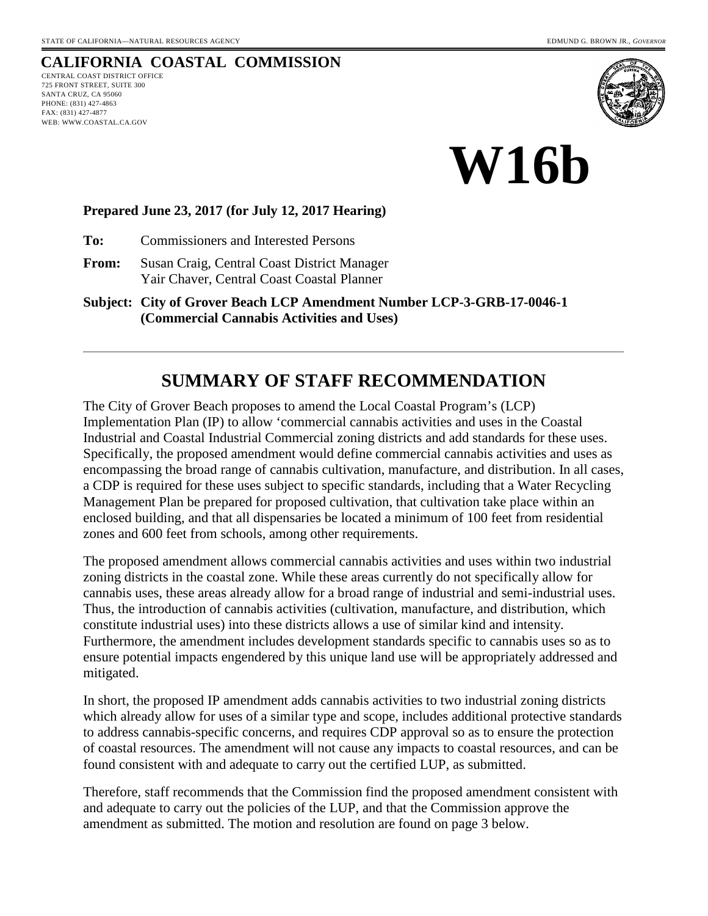# **CALIFORNIA COASTAL COMMISSION**

CENTRAL COAST DISTRICT OFFICE 725 FRONT STREET, SUITE 300 SANTA CRUZ, CA 95060 PHONE: (831) 427-4863 FAX: (831) 427-4877 WEB: WWW.COASTAL.CA.GOV





#### **Prepared June 23, 2017 (for July 12, 2017 Hearing)**

**To:** Commissioners and Interested Persons

**From:** Susan Craig, Central Coast District Manager Yair Chaver, Central Coast Coastal Planner

**Subject: City of Grover Beach LCP Amendment Number LCP-3-GRB-17-0046-1 (Commercial Cannabis Activities and Uses)** 

# **SUMMARY OF STAFF RECOMMENDATION**

The City of Grover Beach proposes to amend the Local Coastal Program's (LCP) Implementation Plan (IP) to allow 'commercial cannabis activities and uses in the Coastal Industrial and Coastal Industrial Commercial zoning districts and add standards for these uses. Specifically, the proposed amendment would define commercial cannabis activities and uses as encompassing the broad range of cannabis cultivation, manufacture, and distribution. In all cases, a CDP is required for these uses subject to specific standards, including that a Water Recycling Management Plan be prepared for proposed cultivation, that cultivation take place within an enclosed building, and that all dispensaries be located a minimum of 100 feet from residential zones and 600 feet from schools, among other requirements.

The proposed amendment allows commercial cannabis activities and uses within two industrial zoning districts in the coastal zone. While these areas currently do not specifically allow for cannabis uses, these areas already allow for a broad range of industrial and semi-industrial uses. Thus, the introduction of cannabis activities (cultivation, manufacture, and distribution, which constitute industrial uses) into these districts allows a use of similar kind and intensity. Furthermore, the amendment includes development standards specific to cannabis uses so as to ensure potential impacts engendered by this unique land use will be appropriately addressed and mitigated.

In short, the proposed IP amendment adds cannabis activities to two industrial zoning districts which already allow for uses of a similar type and scope, includes additional protective standards to address cannabis-specific concerns, and requires CDP approval so as to ensure the protection of coastal resources. The amendment will not cause any impacts to coastal resources, and can be found consistent with and adequate to carry out the certified LUP, as submitted.

Therefore, staff recommends that the Commission find the proposed amendment consistent with and adequate to carry out the policies of the LUP, and that the Commission approve the amendment as submitted. The motion and resolution are found on page 3 below.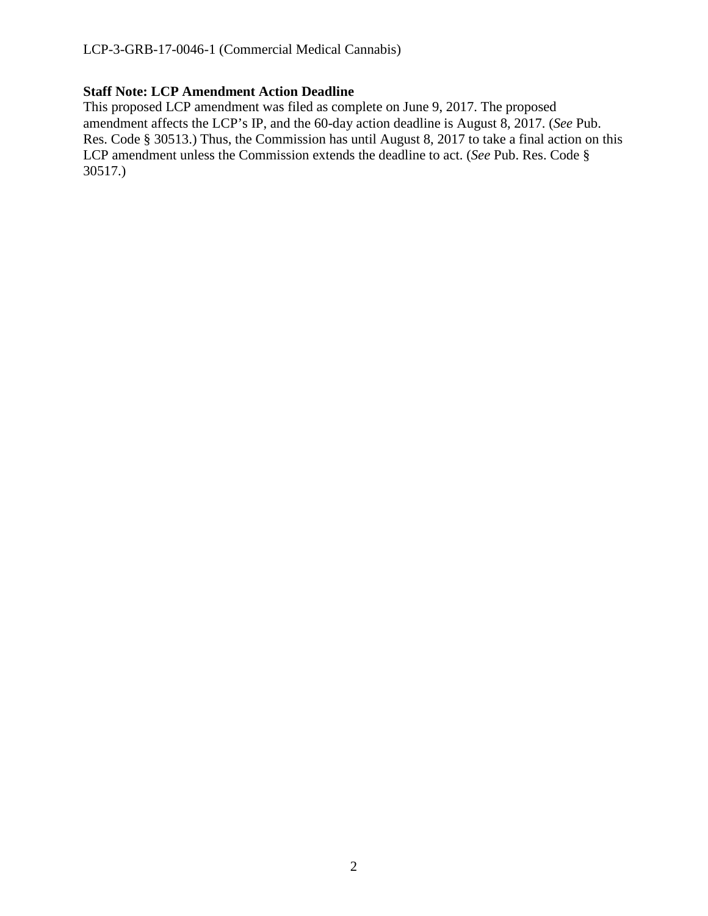### **Staff Note: LCP Amendment Action Deadline**

This proposed LCP amendment was filed as complete on June 9, 2017. The proposed amendment affects the LCP's IP, and the 60-day action deadline is August 8, 2017. (*See* Pub. Res. Code § 30513.) Thus, the Commission has until August 8, 2017 to take a final action on this LCP amendment unless the Commission extends the deadline to act. (*See* Pub. Res. Code § 30517.)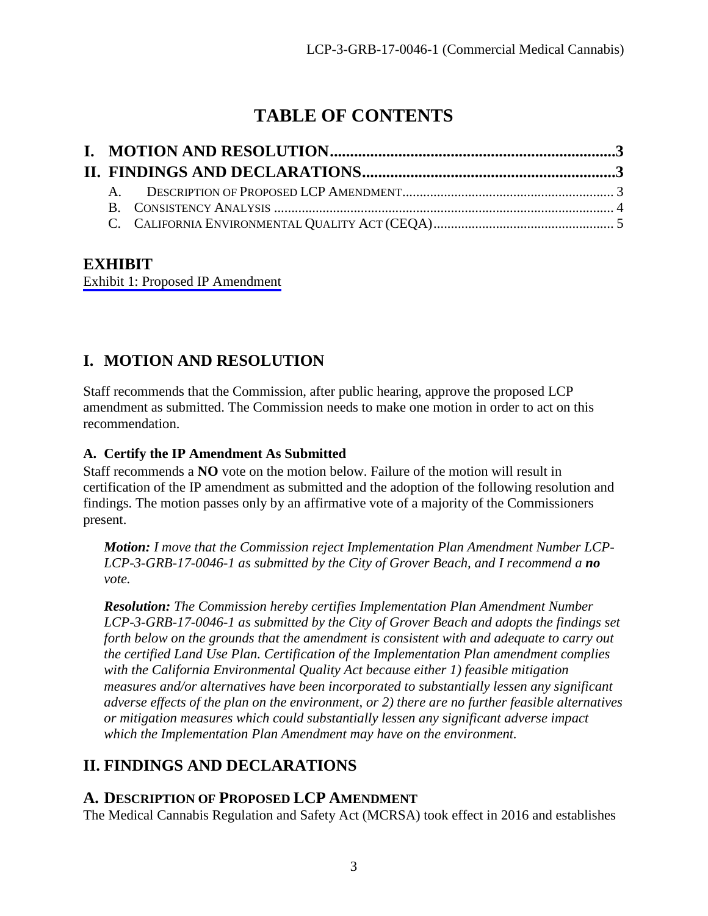# **TABLE OF CONTENTS**

## **EXHIBIT**

[Exhibit 1: Proposed IP Amendment](https://documents.coastal.ca.gov/reports/2017/7/w16b/w16b-7-2017-exhibits.pdf)

# <span id="page-2-0"></span>**I. MOTION AND RESOLUTION**

Staff recommends that the Commission, after public hearing, approve the proposed LCP amendment as submitted. The Commission needs to make one motion in order to act on this recommendation.

### **A. Certify the IP Amendment As Submitted**

Staff recommends a **NO** vote on the motion below. Failure of the motion will result in certification of the IP amendment as submitted and the adoption of the following resolution and findings. The motion passes only by an affirmative vote of a majority of the Commissioners present.

*Motion: I move that the Commission reject Implementation Plan Amendment Number LCP-LCP-3-GRB-17-0046-1 as submitted by the City of Grover Beach, and I recommend a no vote.*

*Resolution: The Commission hereby certifies Implementation Plan Amendment Number LCP-3-GRB-17-0046-1 as submitted by the City of Grover Beach and adopts the findings set forth below on the grounds that the amendment is consistent with and adequate to carry out the certified Land Use Plan. Certification of the Implementation Plan amendment complies with the California Environmental Quality Act because either 1) feasible mitigation measures and/or alternatives have been incorporated to substantially lessen any significant adverse effects of the plan on the environment, or 2) there are no further feasible alternatives or mitigation measures which could substantially lessen any significant adverse impact which the Implementation Plan Amendment may have on the environment.* 

# <span id="page-2-1"></span>**II. FINDINGS AND DECLARATIONS**

### <span id="page-2-2"></span>**A. DESCRIPTION OF PROPOSED LCP AMENDMENT**

The Medical Cannabis Regulation and Safety Act (MCRSA) took effect in 2016 and establishes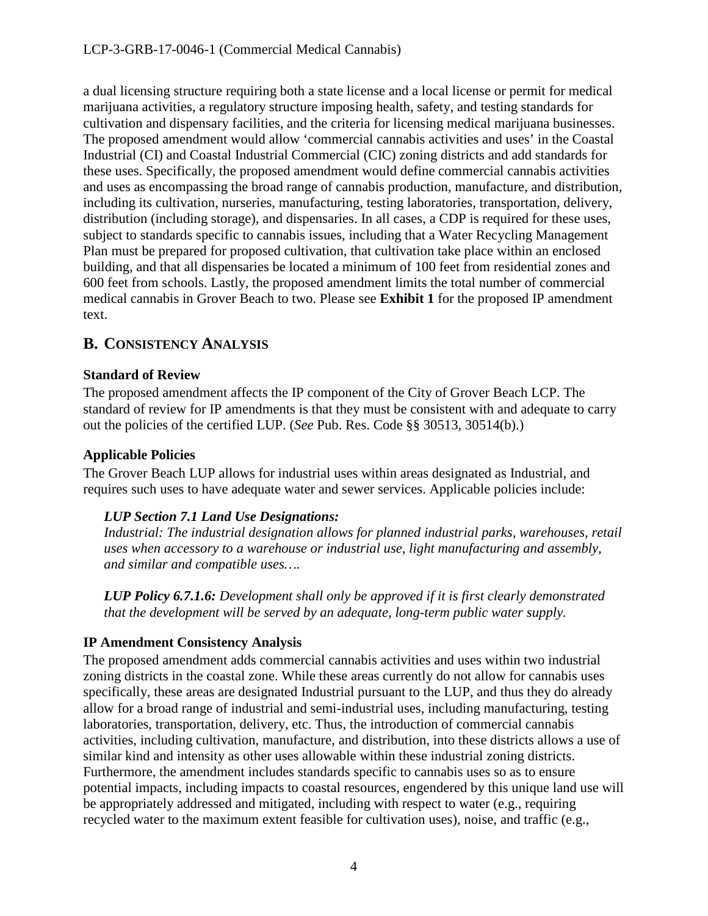a dual licensing structure requiring both a state license and a local license or permit for medical marijuana activities, a regulatory structure imposing health, safety, and testing standards for cultivation and dispensary facilities, and the criteria for licensing medical marijuana businesses. The proposed amendment would allow 'commercial cannabis activities and uses' in the Coastal Industrial (CI) and Coastal Industrial Commercial (CIC) zoning districts and add standards for these uses. Specifically, the proposed amendment would define commercial cannabis activities and uses as encompassing the broad range of cannabis production, manufacture, and distribution, including its cultivation, nurseries, manufacturing, testing laboratories, transportation, delivery, distribution (including storage), and dispensaries. In all cases, a CDP is required for these uses, subject to standards specific to cannabis issues, including that a Water Recycling Management Plan must be prepared for proposed cultivation, that cultivation take place within an enclosed building, and that all dispensaries be located a minimum of 100 feet from residential zones and 600 feet from schools. Lastly, the proposed amendment limits the total number of commercial medical cannabis in Grover Beach to two. Please see **Exhibit 1** for the proposed IP amendment text.

## <span id="page-3-0"></span>**B. CONSISTENCY ANALYSIS**

### **Standard of Review**

The proposed amendment affects the IP component of the City of Grover Beach LCP. The standard of review for IP amendments is that they must be consistent with and adequate to carry out the policies of the certified LUP. (*See* Pub. Res. Code §§ 30513, 30514(b).)

### **Applicable Policies**

The Grover Beach LUP allows for industrial uses within areas designated as Industrial, and requires such uses to have adequate water and sewer services. Applicable policies include:

#### *LUP Section 7.1 Land Use Designations:*

*Industrial: The industrial designation allows for planned industrial parks, warehouses, retail uses when accessory to a warehouse or industrial use, light manufacturing and assembly, and similar and compatible uses….* 

*LUP Policy 6.7.1.6: Development shall only be approved if it is first clearly demonstrated that the development will be served by an adequate, long-term public water supply.* 

### **IP Amendment Consistency Analysis**

The proposed amendment adds commercial cannabis activities and uses within two industrial zoning districts in the coastal zone. While these areas currently do not allow for cannabis uses specifically, these areas are designated Industrial pursuant to the LUP, and thus they do already allow for a broad range of industrial and semi-industrial uses, including manufacturing, testing laboratories, transportation, delivery, etc. Thus, the introduction of commercial cannabis activities, including cultivation, manufacture, and distribution, into these districts allows a use of similar kind and intensity as other uses allowable within these industrial zoning districts. Furthermore, the amendment includes standards specific to cannabis uses so as to ensure potential impacts, including impacts to coastal resources, engendered by this unique land use will be appropriately addressed and mitigated, including with respect to water (e.g., requiring recycled water to the maximum extent feasible for cultivation uses), noise, and traffic (e.g.,